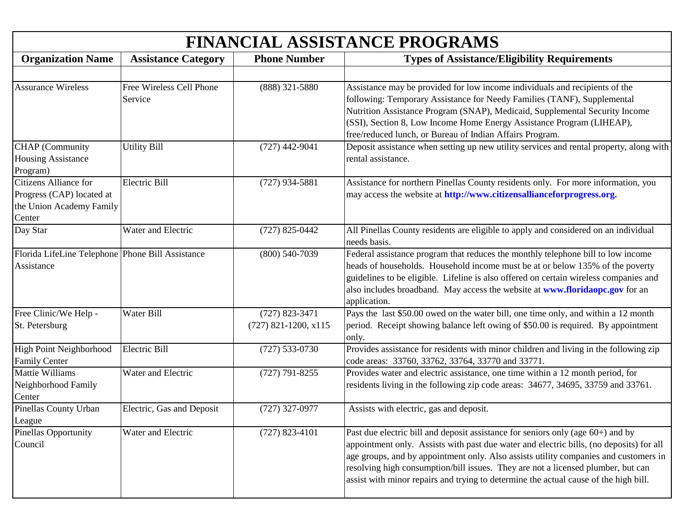| <b>FINANCIAL ASSISTANCE PROGRAMS</b>                                                     |                                     |                                            |                                                                                                                                                                                                                                                                                                                                                                                                                                                   |
|------------------------------------------------------------------------------------------|-------------------------------------|--------------------------------------------|---------------------------------------------------------------------------------------------------------------------------------------------------------------------------------------------------------------------------------------------------------------------------------------------------------------------------------------------------------------------------------------------------------------------------------------------------|
| <b>Organization Name</b>                                                                 | <b>Assistance Category</b>          | <b>Phone Number</b>                        | <b>Types of Assistance/Eligibility Requirements</b>                                                                                                                                                                                                                                                                                                                                                                                               |
| <b>Assurance Wireless</b>                                                                | Free Wireless Cell Phone<br>Service | $(888)$ 321-5880                           | Assistance may be provided for low income individuals and recipients of the<br>following: Temporary Assistance for Needy Families (TANF), Supplemental<br>Nutrition Assistance Program (SNAP), Medicaid, Supplemental Security Income<br>(SSI), Section 8, Low Income Home Energy Assistance Program (LIHEAP),<br>free/reduced lunch, or Bureau of Indian Affairs Program.                                                                        |
| <b>CHAP</b> (Community<br><b>Housing Assistance</b><br>Program)                          | <b>Utility Bill</b>                 | $(727)$ 442-9041                           | Deposit assistance when setting up new utility services and rental property, along with<br>rental assistance.                                                                                                                                                                                                                                                                                                                                     |
| Citizens Alliance for<br>Progress (CAP) located at<br>the Union Academy Family<br>Center | Electric Bill                       | $(727)$ 934-5881                           | Assistance for northern Pinellas County residents only. For more information, you<br>may access the website at http://www.citizensallianceforprogress.org.                                                                                                                                                                                                                                                                                        |
| Day Star                                                                                 | Water and Electric                  | $(727)$ 825-0442                           | All Pinellas County residents are eligible to apply and considered on an individual<br>needs basis.                                                                                                                                                                                                                                                                                                                                               |
| Florida LifeLine Telephone Phone Bill Assistance<br>Assistance                           |                                     | $(800)$ 540-7039                           | Federal assistance program that reduces the monthly telephone bill to low income<br>heads of households. Household income must be at or below 135% of the poverty<br>guidelines to be eligible. Lifeline is also offered on certain wireless companies and<br>also includes broadband. May access the website at www.floridaopc.gov for an<br>application.                                                                                        |
| Free Clinic/We Help -<br>St. Petersburg                                                  | Water Bill                          | $(727)$ 823-3471<br>$(727)$ 821-1200, x115 | Pays the last \$50.00 owed on the water bill, one time only, and within a 12 month<br>period. Receipt showing balance left owing of \$50.00 is required. By appointment<br>only.                                                                                                                                                                                                                                                                  |
| High Point Neighborhood<br><b>Family Center</b>                                          | <b>Electric Bill</b>                | $(727) 533 - 0730$                         | Provides assistance for residents with minor children and living in the following zip<br>code areas: 33760, 33762, 33764, 33770 and 33771.                                                                                                                                                                                                                                                                                                        |
| <b>Mattie Williams</b><br>Neighborhood Family<br>Center                                  | Water and Electric                  | $(727)$ 791-8255                           | Provides water and electric assistance, one time within a 12 month period, for<br>residents living in the following zip code areas: 34677, 34695, 33759 and 33761.                                                                                                                                                                                                                                                                                |
| Pinellas County Urban<br>League                                                          | Electric, Gas and Deposit           | $(727)$ 327-0977                           | Assists with electric, gas and deposit.                                                                                                                                                                                                                                                                                                                                                                                                           |
| Pinellas Opportunity<br>Council                                                          | Water and Electric                  | $(727)$ 823-4101                           | Past due electric bill and deposit assistance for seniors only (age $60+$ ) and by<br>appointment only. Assists with past due water and electric bills, (no deposits) for all<br>age groups, and by appointment only. Also assists utility companies and customers in<br>resolving high consumption/bill issues. They are not a licensed plumber, but can<br>assist with minor repairs and trying to determine the actual cause of the high bill. |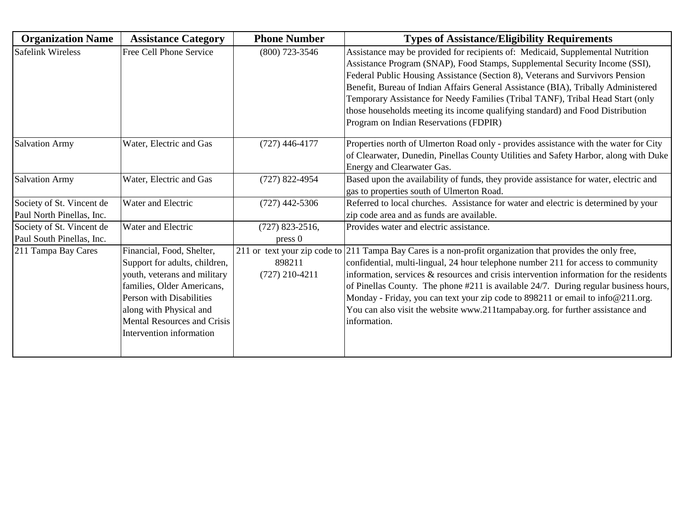| <b>Organization Name</b>                               | <b>Assistance Category</b>                                                                                                                                                                                                                        | <b>Phone Number</b>                    | <b>Types of Assistance/Eligibility Requirements</b>                                                                                                                                                                                                                                                                                                                                                                                                                                                                                                                        |
|--------------------------------------------------------|---------------------------------------------------------------------------------------------------------------------------------------------------------------------------------------------------------------------------------------------------|----------------------------------------|----------------------------------------------------------------------------------------------------------------------------------------------------------------------------------------------------------------------------------------------------------------------------------------------------------------------------------------------------------------------------------------------------------------------------------------------------------------------------------------------------------------------------------------------------------------------------|
| <b>Safelink Wireless</b>                               | Free Cell Phone Service                                                                                                                                                                                                                           | $(800)$ 723-3546                       | Assistance may be provided for recipients of: Medicaid, Supplemental Nutrition<br>Assistance Program (SNAP), Food Stamps, Supplemental Security Income (SSI),<br>Federal Public Housing Assistance (Section 8), Veterans and Survivors Pension<br>Benefit, Bureau of Indian Affairs General Assistance (BIA), Tribally Administered<br>Temporary Assistance for Needy Families (Tribal TANF), Tribal Head Start (only<br>those households meeting its income qualifying standard) and Food Distribution<br>Program on Indian Reservations (FDPIR)                          |
| <b>Salvation Army</b>                                  | Water, Electric and Gas                                                                                                                                                                                                                           | $(727)$ 446-4177                       | Properties north of Ulmerton Road only - provides assistance with the water for City<br>of Clearwater, Dunedin, Pinellas County Utilities and Safety Harbor, along with Duke<br>Energy and Clearwater Gas.                                                                                                                                                                                                                                                                                                                                                                 |
| <b>Salvation Army</b>                                  | Water, Electric and Gas                                                                                                                                                                                                                           | $(727)$ 822-4954                       | Based upon the availability of funds, they provide assistance for water, electric and<br>gas to properties south of Ulmerton Road.                                                                                                                                                                                                                                                                                                                                                                                                                                         |
| Society of St. Vincent de<br>Paul North Pinellas, Inc. | Water and Electric                                                                                                                                                                                                                                | $(727)$ 442-5306                       | Referred to local churches. Assistance for water and electric is determined by your<br>zip code area and as funds are available.                                                                                                                                                                                                                                                                                                                                                                                                                                           |
| Society of St. Vincent de<br>Paul South Pinellas, Inc. | Water and Electric                                                                                                                                                                                                                                | $(727)$ 823-2516,<br>pres <sub>0</sub> | Provides water and electric assistance.                                                                                                                                                                                                                                                                                                                                                                                                                                                                                                                                    |
| 211 Tampa Bay Cares                                    | Financial, Food, Shelter,<br>Support for adults, children,<br>youth, veterans and military<br>families, Older Americans,<br>Person with Disabilities<br>along with Physical and<br><b>Mental Resources and Crisis</b><br>Intervention information | 898211<br>$(727)$ 210-4211             | 211 or text your zip code to 211 Tampa Bay Cares is a non-profit organization that provides the only free,<br>confidential, multi-lingual, 24 hour telephone number 211 for access to community<br>information, services $\&$ resources and crisis intervention information for the residents<br>of Pinellas County. The phone #211 is available 24/7. During regular business hours,<br>Monday - Friday, you can text your zip code to 898211 or email to info@211.org.<br>You can also visit the website www.211tampabay.org. for further assistance and<br>information. |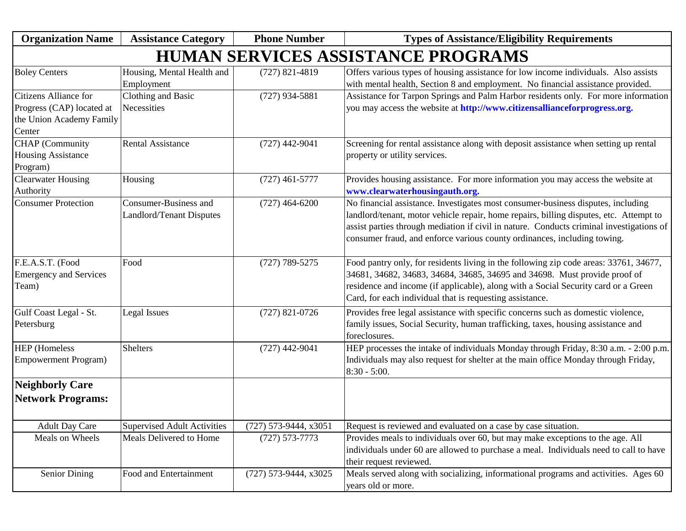| <b>Organization Name</b>                                                                 | <b>Assistance Category</b>                               | <b>Phone Number</b>     | <b>Types of Assistance/Eligibility Requirements</b>                                                                                                                                                                                                                                                                                                |
|------------------------------------------------------------------------------------------|----------------------------------------------------------|-------------------------|----------------------------------------------------------------------------------------------------------------------------------------------------------------------------------------------------------------------------------------------------------------------------------------------------------------------------------------------------|
|                                                                                          |                                                          |                         | <b>HUMAN SERVICES ASSISTANCE PROGRAMS</b>                                                                                                                                                                                                                                                                                                          |
| <b>Boley Centers</b>                                                                     | Housing, Mental Health and<br>Employment                 | $(727)$ 821-4819        | Offers various types of housing assistance for low income individuals. Also assists<br>with mental health, Section 8 and employment. No financial assistance provided.                                                                                                                                                                             |
| Citizens Alliance for<br>Progress (CAP) located at<br>the Union Academy Family<br>Center | Clothing and Basic<br>Necessities                        | $(727)$ 934-5881        | Assistance for Tarpon Springs and Palm Harbor residents only. For more information<br>you may access the website at http://www.citizensallianceforprogress.org.                                                                                                                                                                                    |
| CHAP (Community<br><b>Housing Assistance</b><br>Program)                                 | <b>Rental Assistance</b>                                 | $(727)$ 442-9041        | Screening for rental assistance along with deposit assistance when setting up rental<br>property or utility services.                                                                                                                                                                                                                              |
| <b>Clearwater Housing</b><br>Authority                                                   | Housing                                                  | $(727)$ 461-5777        | Provides housing assistance. For more information you may access the website at<br>www.clearwaterhousingauth.org.                                                                                                                                                                                                                                  |
| <b>Consumer Protection</b>                                                               | Consumer-Business and<br><b>Landlord/Tenant Disputes</b> | $(727)$ 464-6200        | No financial assistance. Investigates most consumer-business disputes, including<br>landlord/tenant, motor vehicle repair, home repairs, billing disputes, etc. Attempt to<br>assist parties through mediation if civil in nature. Conducts criminal investigations of<br>consumer fraud, and enforce various county ordinances, including towing. |
| F.E.A.S.T. (Food<br><b>Emergency and Services</b><br>Team)                               | Food                                                     | $(727) 789 - 5275$      | Food pantry only, for residents living in the following zip code areas: 33761, 34677,<br>34681, 34682, 34683, 34684, 34685, 34695 and 34698. Must provide proof of<br>residence and income (if applicable), along with a Social Security card or a Green<br>Card, for each individual that is requesting assistance.                               |
| Gulf Coast Legal - St.<br>Petersburg                                                     | Legal Issues                                             | $(727)$ 821-0726        | Provides free legal assistance with specific concerns such as domestic violence,<br>family issues, Social Security, human trafficking, taxes, housing assistance and<br>foreclosures.                                                                                                                                                              |
| <b>HEP</b> (Homeless<br><b>Empowerment Program)</b>                                      | <b>Shelters</b>                                          | $(727)$ 442-9041        | HEP processes the intake of individuals Monday through Friday, 8:30 a.m. - 2:00 p.m.<br>Individuals may also request for shelter at the main office Monday through Friday,<br>$8:30 - 5:00.$                                                                                                                                                       |
| <b>Neighborly Care</b>                                                                   |                                                          |                         |                                                                                                                                                                                                                                                                                                                                                    |
| <b>Network Programs:</b>                                                                 |                                                          |                         |                                                                                                                                                                                                                                                                                                                                                    |
| <b>Adult Day Care</b>                                                                    | <b>Supervised Adult Activities</b>                       | (727) 573-9444, x3051   | Request is reviewed and evaluated on a case by case situation.                                                                                                                                                                                                                                                                                     |
| Meals on Wheels                                                                          | Meals Delivered to Home                                  | $(727) 573 - 7773$      | Provides meals to individuals over 60, but may make exceptions to the age. All<br>individuals under 60 are allowed to purchase a meal. Individuals need to call to have<br>their request reviewed.                                                                                                                                                 |
| <b>Senior Dining</b>                                                                     | Food and Entertainment                                   | $(727)$ 573-9444, x3025 | Meals served along with socializing, informational programs and activities. Ages 60<br>years old or more.                                                                                                                                                                                                                                          |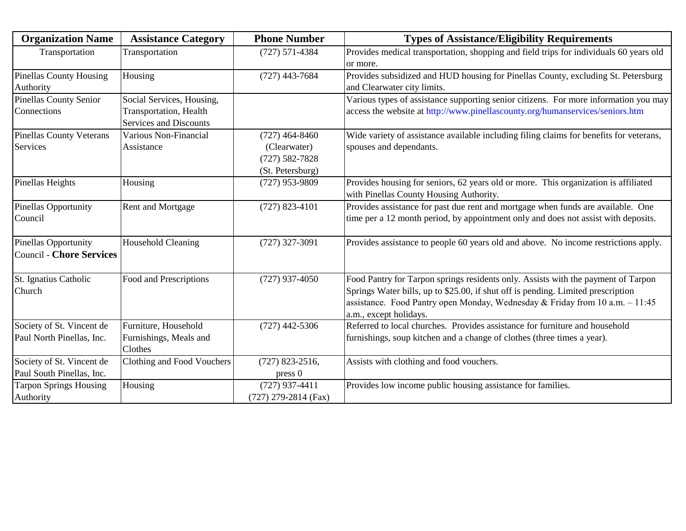| <b>Organization Name</b>        | <b>Assistance Category</b>     | <b>Phone Number</b>    | <b>Types of Assistance/Eligibility Requirements</b>                                     |
|---------------------------------|--------------------------------|------------------------|-----------------------------------------------------------------------------------------|
| Transportation                  | Transportation                 | $(727) 571 - 4384$     | Provides medical transportation, shopping and field trips for individuals 60 years old  |
|                                 |                                |                        | or more.                                                                                |
| <b>Pinellas County Housing</b>  | Housing                        | $(727)$ 443-7684       | Provides subsidized and HUD housing for Pinellas County, excluding St. Petersburg       |
| Authority                       |                                |                        | and Clearwater city limits.                                                             |
| <b>Pinellas County Senior</b>   | Social Services, Housing,      |                        | Various types of assistance supporting senior citizens. For more information you may    |
| Connections                     | <b>Transportation</b> , Health |                        | access the website at http://www.pinellascounty.org/humanservices/seniors.htm           |
|                                 | <b>Services and Discounts</b>  |                        |                                                                                         |
| <b>Pinellas County Veterans</b> | Various Non-Financial          | $(727)$ 464-8460       | Wide variety of assistance available including filing claims for benefits for veterans, |
| Services                        | Assistance                     | (Clearwater)           | spouses and dependants.                                                                 |
|                                 |                                | $(727) 582 - 7828$     |                                                                                         |
|                                 |                                | (St. Petersburg)       |                                                                                         |
| Pinellas Heights                | Housing                        | $(727)$ 953-9809       | Provides housing for seniors, 62 years old or more. This organization is affiliated     |
|                                 |                                |                        | with Pinellas County Housing Authority.                                                 |
| Pinellas Opportunity            | Rent and Mortgage              | $(727)$ 823-4101       | Provides assistance for past due rent and mortgage when funds are available. One        |
| Council                         |                                |                        | time per a 12 month period, by appointment only and does not assist with deposits.      |
|                                 |                                |                        |                                                                                         |
| <b>Pinellas Opportunity</b>     | <b>Household Cleaning</b>      | $(727)$ 327-3091       | Provides assistance to people 60 years old and above. No income restrictions apply.     |
| <b>Council - Chore Services</b> |                                |                        |                                                                                         |
|                                 |                                |                        |                                                                                         |
| St. Ignatius Catholic           | Food and Prescriptions         | $(727)$ 937-4050       | Food Pantry for Tarpon springs residents only. Assists with the payment of Tarpon       |
| Church                          |                                |                        | Springs Water bills, up to \$25.00, if shut off is pending. Limited prescription        |
|                                 |                                |                        | assistance. Food Pantry open Monday, Wednesday & Friday from 10 a.m. $-11:45$           |
|                                 |                                |                        | a.m., except holidays.                                                                  |
| Society of St. Vincent de       | Furniture, Household           | $(727)$ 442-5306       | Referred to local churches. Provides assistance for furniture and household             |
| Paul North Pinellas, Inc.       | Furnishings, Meals and         |                        | furnishings, soup kitchen and a change of clothes (three times a year).                 |
|                                 | Clothes                        |                        |                                                                                         |
| Society of St. Vincent de       | Clothing and Food Vouchers     | $(727)$ 823-2516,      | Assists with clothing and food vouchers.                                                |
| Paul South Pinellas, Inc.       |                                | press 0                |                                                                                         |
| <b>Tarpon Springs Housing</b>   | Housing                        | $(727)$ 937-4411       | Provides low income public housing assistance for families.                             |
| Authority                       |                                | $(727)$ 279-2814 (Fax) |                                                                                         |